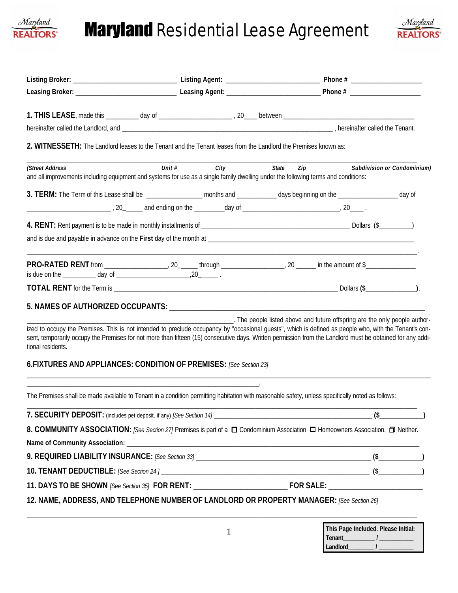

# **Maryland** Residential Lease Agreement



| 2. WITNESSETH: The Landlord leases to the Tenant and the Tenant leases from the Landlord the Premises known as:                                                                                                                                                                                                                                                                                                  |          |      |       |                                                                                                                |                             |
|------------------------------------------------------------------------------------------------------------------------------------------------------------------------------------------------------------------------------------------------------------------------------------------------------------------------------------------------------------------------------------------------------------------|----------|------|-------|----------------------------------------------------------------------------------------------------------------|-----------------------------|
| (Street Address<br>and all improvements including equipment and systems for use as a single family dwelling under the following terms and conditions:                                                                                                                                                                                                                                                            | Unit $#$ | City | State | Zip and the state of the state of the state of the state of the state of the state of the state of the state o | Subdivision or Condominium) |
| 3. TERM: The Term of this Lease shall be __________________ months and ___________ days beginning on the _________________ day of                                                                                                                                                                                                                                                                                |          |      |       |                                                                                                                |                             |
|                                                                                                                                                                                                                                                                                                                                                                                                                  |          |      |       |                                                                                                                |                             |
|                                                                                                                                                                                                                                                                                                                                                                                                                  |          |      |       |                                                                                                                |                             |
|                                                                                                                                                                                                                                                                                                                                                                                                                  |          |      |       |                                                                                                                |                             |
|                                                                                                                                                                                                                                                                                                                                                                                                                  |          |      |       |                                                                                                                |                             |
|                                                                                                                                                                                                                                                                                                                                                                                                                  |          |      |       |                                                                                                                |                             |
| 5. NAMES OF AUTHORIZED OCCUPANTS: University of the contract of the contract of the contract of the contract of                                                                                                                                                                                                                                                                                                  |          |      |       |                                                                                                                |                             |
| ized to occupy the Premises. This is not intended to preclude occupancy by "occasional guests", which is defined as people who, with the Tenant's con-<br>sent, temporarily occupy the Premises for not more than fifteen (15) consecutive days. Written permission from the Landlord must be obtained for any addi-<br>tional residents.<br>6. FIXTURES AND APPLIANCES: CONDITION OF PREMISES: [See Section 23] |          |      |       | The people listed above and future offspring are the only people author-                                       |                             |
| The Premises shall be made available to Tenant in a condition permitting habitation with reasonable safety, unless specifically noted as follows:                                                                                                                                                                                                                                                                |          |      |       |                                                                                                                |                             |
|                                                                                                                                                                                                                                                                                                                                                                                                                  |          |      |       |                                                                                                                | $\frac{1}{2}$ (\$           |
| 8. COMMUNITY ASSOCIATION: [See Section 27] Premises is part of a $\Box$ Condominium Association $\Box$ Homeowners Association. $\Box$ Neither.                                                                                                                                                                                                                                                                   |          |      |       |                                                                                                                |                             |
|                                                                                                                                                                                                                                                                                                                                                                                                                  |          |      |       |                                                                                                                |                             |
|                                                                                                                                                                                                                                                                                                                                                                                                                  |          |      |       |                                                                                                                |                             |
|                                                                                                                                                                                                                                                                                                                                                                                                                  |          |      |       |                                                                                                                |                             |
| 12. NAME, ADDRESS, AND TELEPHONE NUMBER OF LANDLORD OR PROPERTY MANAGER: [See Section 26]                                                                                                                                                                                                                                                                                                                        |          |      |       |                                                                                                                |                             |
|                                                                                                                                                                                                                                                                                                                                                                                                                  |          |      |       | This Page Included. Please Initial:                                                                            |                             |

**Tenant\_\_\_\_\_\_\_\_\_\_\_ / \_\_\_\_\_\_\_\_\_\_\_\_** Landlord\_\_\_\_\_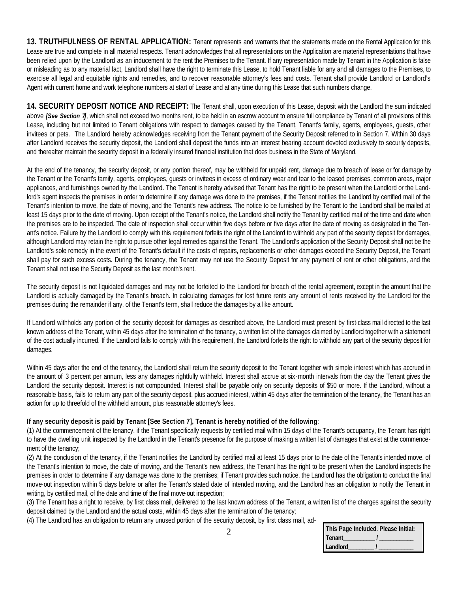**13. TRUTHFULNESS OF RENTAL APPLICATION:** Tenant represents and warrants that the statements made on the Rental Application for this Lease are true and complete in all material respects. Tenant acknowledges that all representations on the Application are material representations that have been relied upon by the Landlord as an inducement to the rent the Premises to the Tenant. If any representation made by Tenant in the Application is false or misleading as to any material fact, Landlord shall have the right to terminate this Lease, to hold Tenant liable for any and all damages to the Premises, to exercise all legal and equitable rights and remedies, and to recover reasonable attorney's fees and costs. Tenant shall provide Landlord or Landlord's Agent with current home and work telephone numbers at start of Lease and at any time during this Lease that such numbers change.

**14. SECURITY DEPOSIT NOTICE AND RECEIPT:** The Tenant shall, upon execution of this Lease, deposit with the Landlord the sum indicated above *[See Section 7]*, which shall not exceed two months rent, to be held in an escrow account to ensure full compliance by Tenant of all provisions of this Lease, including but not limited to Tenant obligations with respect to damages caused by the Tenant, Tenant's family, agents, employees, guests, other invitees or pets. The Landlord hereby acknowledges receiving from the Tenant payment of the Security Deposit referred to in Section 7. Within 30 days after Landlord receives the security deposit, the Landlord shall deposit the funds into an interest bearing account devoted exclusively to security deposits, and thereafter maintain the security deposit in a federally insured financial institution that does business in the State of Maryland.

At the end of the tenancy, the security deposit, or any portion thereof, may be withheld for unpaid rent, damage due to breach of lease or for damage by the Tenant or the Tenant's family, agents, employees, guests or invitees in excess of ordinary wear and tear to the leased premises, common areas, major appliances, and furnishings owned by the Landlord. The Tenant is hereby advised that Tenant has the right to be present when the Landlord or the Landlord's agent inspects the premises in order to determine if any damage was done to the premises, if the Tenant notifies the Landlord by certified mail of the Tenant's intention to move, the date of moving, and the Tenant's new address. The notice to be furnished by the Tenant to the Landlord shall be mailed at least 15 days prior to the date of moving. Upon receipt of the Tenant's notice, the Landlord shall notify the Tenant by certified mail of the time and date when the premises are to be inspected. The date of inspection shall occur within five days before or five days after the date of moving as designated in the Tenant's notice. Failure by the Landlord to comply with this requirement forfeits the right of the Landlord to withhold any part of the security deposit for damages, although Landlord may retain the right to pursue other legal remedies against the Tenant. The Landlord's application of the Security Deposit shall not be the Landlord's sole remedy in the event of the Tenant's default if the costs of repairs, replacements or other damages exceed the Security Deposit, the Tenant shall pay for such excess costs. During the tenancy, the Tenant may not use the Security Deposit for any payment of rent or other obligations, and the Tenant shall not use the Security Deposit as the last month's rent.

The security deposit is not liquidated damages and may not be forfeited to the Landlord for breach of the rental agreement, except in the amount that the Landlord is actually damaged by the Tenant's breach. In calculating damages for lost future rents any amount of rents received by the Landlord for the premises during the remainder if any, of the Tenant's term, shall reduce the damages by a like amount.

If Landlord withholds any portion of the security deposit for damages as described above, the Landlord must present by first-class mail directed to the last known address of the Tenant, within 45 days after the termination of the tenancy, a written list of the damages claimed by Landlord together with a statement of the cost actually incurred. If the Landlord fails to comply with this requirement, the Landlord forfeits the right to withhold any part of the security deposit for damages.

Within 45 days after the end of the tenancy, the Landlord shall return the security deposit to the Tenant together with simple interest which has accrued in the amount of 3 percent per annum, less any damages rightfully withheld. Interest shall accrue at six-month intervals from the day the Tenant gives the Landlord the security deposit. Interest is not compounded. Interest shall be payable only on security deposits of \$50 or more. If the Landlord, without a reasonable basis, fails to return any part of the security deposit, plus accrued interest, within 45 days after the termination of the tenancy, the Tenant has an action for up to threefold of the withheld amount, plus reasonable attorney's fees.

### **If any security deposit is paid by Tenant [See Section 7], Tenant is hereby notified of the following**:

(1) At the commencement of the tenancy, if the Tenant specifically requests by certified mail within 15 days of the Tenant's occupancy, the Tenant has right to have the dwelling unit inspected by the Landlord in the Tenant's presence for the purpose of making a written list of damages that exist at the commencement of the tenancy;

(2) At the conclusion of the tenancy, if the Tenant notifies the Landlord by certified mail at least 15 days prior to the date of the Tenant's intended move, of the Tenant's intention to move, the date of moving, and the Tenant's new address, the Tenant has the right to be present when the Landlord inspects the premises in order to determine if any damage was done to the premises; if Tenant provides such notice, the Landlord has the obligation to conduct the final move-out inspection within 5 days before or after the Tenant's stated date of intended moving, and the Landlord has an obligation to notify the Tenant in writing, by certified mail, of the date and time of the final move-out inspection;

(3) The Tenant has a right to receive, by first class mail, delivered to the last known address of the Tenant, a written list of the charges against the security deposit claimed by the Landlord and the actual costs, within 45 days after the termination of the tenancy;

(4) The Landlord has an obligation to return any unused portion of the security deposit, by first class mail, ad-

| This Page Included. Please Initial: |
|-------------------------------------|
| l Tenant                            |
| Landlord                            |

2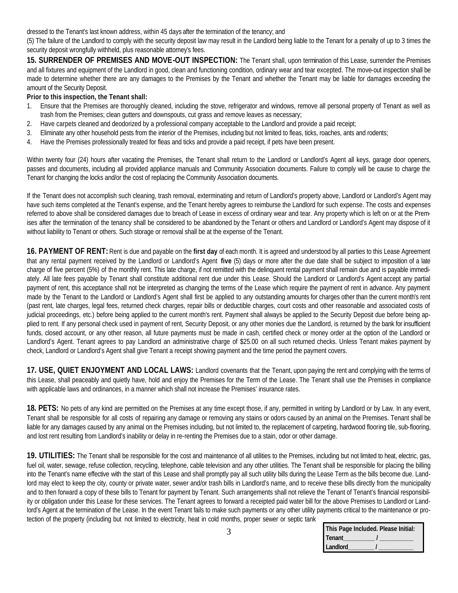dressed to the Tenant's last known address, within 45 days after the termination of the tenancy; and

(5) The failure of the Landlord to comply with the security deposit law may result in the Landlord being liable to the Tenant for a penalty of up to 3 times the security deposit wrongfully withheld, plus reasonable attorney's fees.

**15. SURRENDER OF PREMISES AND MOVE-OUT INSPECTION:** The Tenant shall, upon termination of this Lease, surrender the Premises and all fixtures and equipment of the Landlord in good, clean and functioning condition, ordinary wear and tear excepted. The move-out inspection shall be made to determine whether there are any damages to the Premises by the Tenant and whether the Tenant may be liable for damages exceeding the amount of the Security Deposit.

#### **Prior to this inspection, the Tenant shall:**

- 1. Ensure that the Premises are thoroughly cleaned, including the stove, refrigerator and windows, remove all personal property of Tenant as well as trash from the Premises; clean gutters and downspouts, cut grass and remove leaves as necessary;
- 2. Have carpets cleaned and deodorized by a professional company acceptable to the Landlord and provide a paid receipt;
- 3. Eliminate any other household pests from the interior of the Premises, including but not limited to fleas, ticks, roaches, ants and rodents;
- 4. Have the Premises professionally treated for fleas and ticks and provide a paid receipt, if pets have been present.

Within twenty four (24) hours after vacating the Premises, the Tenant shall return to the Landlord or Landlord's Agent all keys, garage door openers, passes and documents, including all provided appliance manuals and Community Association documents. Failure to comply will be cause to charge the Tenant for changing the locks and/or the cost of replacing the Community Association documents.

If the Tenant does not accomplish such cleaning, trash removal, exterminating and return of Landlord's property above, Landlord or Landlord's Agent may have such items completed at the Tenant's expense, and the Tenant hereby agrees to reimburse the Landlord for such expense. The costs and expenses referred to above shall be considered damages due to breach of Lease in excess of ordinary wear and tear. Any property which is left on or at the Premises after the termination of the tenancy shall be considered to be abandoned by the Tenant or others and Landlord or Landlord's Agent may dispose of it without liability to Tenant or others. Such storage or removal shall be at the expense of the Tenant.

**16. PAYMENT OF RENT:** Rent is due and payable on the **first day** of each month. It is agreed and understood by all parties to this Lease Agreement that any rental payment received by the Landlord or Landlord's Agent **five** (5) days or more after the due date shall be subject to imposition of a late charge of five percent (5%) of the monthly rent. This late charge, if not remitted with the delinquent rental payment shall remain due and is payable immediately. All late fees payable by Tenant shall constitute additional rent due under this Lease. Should the Landlord or Landlord's Agent accept any partial payment of rent, this acceptance shall not be interpreted as changing the terms of the Lease which require the payment of rent in advance. Any payment made by the Tenant to the Landlord or Landlord's Agent shall first be applied to any outstanding amounts for charges other than the current month's rent (past rent, late charges, legal fees, returned check charges, repair bills or deductible charges, court costs and other reasonable and associated costs of judicial proceedings, etc.) before being applied to the current month's rent. Payment shall always be applied to the Security Deposit due before being applied to rent. If any personal check used in payment of rent, Security Deposit, or any other monies due the Landlord, is returned by the bank for insufficient funds, closed account, or any other reason, all future payments must be made in cash, certified check or money order at the option of the Landlord or Landlord's Agent. Tenant agrees to pay Landlord an administrative charge of \$25.00 on all such returned checks. Unless Tenant makes payment by check, Landlord or Landlord's Agent shall give Tenant a receipt showing payment and the time period the payment covers.

**17. USE, QUIET ENJOYMENT AND LOCAL LAWS:** Landlord covenants that the Tenant, upon paying the rent and complying with the terms of this Lease, shall peaceably and quietly have, hold and enjoy the Premises for the Term of the Lease. The Tenant shall use the Premises in compliance with applicable laws and ordinances, in a manner which shall not increase the Premises' insurance rates.

**18. PETS:** No pets of any kind are permitted on the Premises at any time except those, if any, permitted in writing by Landlord or by Law. In any event, Tenant shall be responsible for all costs of repairing any damage or removing any stains or odors caused by an animal on the Premises. Tenant shall be liable for any damages caused by any animal on the Premises including, but not limited to, the replacement of carpeting, hardwood flooring tile, sub-flooring, and lost rent resulting from Landlord's inability or delay in re-renting the Premises due to a stain, odor or other damage.

**19. UTILITIES:** The Tenant shall be responsible for the cost and maintenance of all utilities to the Premises, including but not limited to heat, electric, gas, fuel oil, water, sewage, refuse collection, recycling, telephone, cable television and any other utilities. The Tenant shall be responsible for placing the billing into the Tenant's name effective with the start of this Lease and shall promptly pay all such utility bills during the Lease Term as the bills become due. Landlord may elect to keep the city, county or private water, sewer and/or trash bills in Landlord's name, and to receive these bills directly from the municipality and to then forward a copy of these bills to Tenant for payment by Tenant. Such arrangements shall not relieve the Tenant of Tenant's financial responsibility or obligation under this Lease for these services. The Tenant agrees to forward a receipted paid water bill for the above Premises to Landlord or Landlord's Agent at the termination of the Lease. In the event Tenant fails to make such payments or any other utility payments critical to the maintenance or protection of the property (including but not limited to electricity, heat in cold months, proper sewer or septic tank

| This Page Included. Please Initial: |
|-------------------------------------|
| <b>Tenant</b>                       |
| Landlord                            |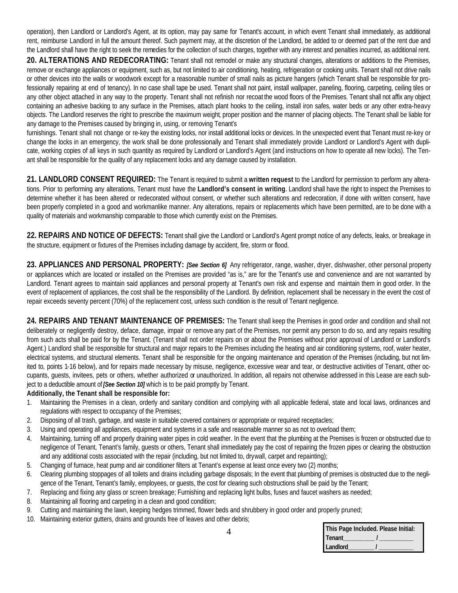operation), then Landlord or Landlord's Agent, at its option, may pay same for Tenant's account, in which event Tenant shall immediately, as additional rent, reimburse Landlord in full the amount thereof. Such payment may, at the discretion of the Landlord, be added to or deemed part of the rent due and the Landlord shall have the right to seek the remedies for the collection of such charges, together with any interest and penalties incurred, as additional rent.

**20. ALTERATIONS AND REDECORATING:** Tenant shall not remodel or make any structural changes, alterations or additions to the Premises, remove or exchange appliances or equipment, such as, but not limited to air conditioning, heating, refrigeration or cooking units. Tenant shall not drive nails or other devices into the walls or woodwork except for a reasonable number of small nails as picture hangers (which Tenant shall be responsible for professionally repairing at end of tenancy). In no case shall tape be used. Tenant shall not paint, install wallpaper, paneling, flooring, carpeting, ceiling tiles or any other object attached in any way to the property. Tenant shall not refinish nor recoat the wood floors of the Premises. Tenant shall not affix any object containing an adhesive backing to any surface in the Premises, attach plant hooks to the ceiling, install iron safes, water beds or any other extra-heavy objects. The Landlord reserves the right to prescribe the maximum weight, proper position and the manner of placing objects. The Tenant shall be liable for any damage to the Premises caused by bringing in, using, or removing Tenant's

furnishings. Tenant shall not change or re-key the existing locks, nor install additional locks or devices. In the unexpected event that Tenant must re-key or change the locks in an emergency, the work shall be done professionally and Tenant shall immediately provide Landlord or Landlord's Agent with duplicate, working copies of all keys in such quantity as required by Landlord or Landlord's Agent (and instructions on how to operate all new locks). The Tenant shall be responsible for the quality of any replacement locks and any damage caused by installation.

**21. LANDLORD CONSENT REQUIRED:** The Tenant is required to submit a **written request** to the Landlord for permission to perform any alterations. Prior to performing any alterations, Tenant must have the **Landlord's consent in writing**. Landlord shall have the right to inspect the Premises to determine whether it has been altered or redecorated without consent, or whether such alterations and redecoration, if done with written consent, have been properly completed in a good and workmanlike manner. Any alterations, repairs or replacements which have been permitted, are to be done with a quality of materials and workmanship comparable to those which currently exist on the Premises.

**22. REPAIRS AND NOTICE OF DEFECTS:** Tenant shall give the Landlord or Landlord's Agent prompt notice of any defects, leaks, or breakage in the structure, equipment or fixtures of the Premises including damage by accident, fire, storm or flood.

**23. APPLIANCES AND PERSONAL PROPERTY:** *[See Section 6]* Any refrigerator, range, washer, dryer, dishwasher, other personal property or appliances which are located or installed on the Premises are provided "as is," are for the Tenant's use and convenience and are not warranted by Landlord. Tenant agrees to maintain said appliances and personal property at Tenant's own risk and expense and maintain them in good order. In the event of replacement of appliances, the cost shall be the responsibility of the Landlord. By definition, replacement shall be necessary in the event the cost of repair exceeds seventy percent (70%) of the replacement cost, unless such condition is the result of Tenant negligence.

**24. REPAIRS AND TENANT MAINTENANCE OF PREMISES:** The Tenant shall keep the Premises in good order and condition and shall not deliberately or negligently destroy, deface, damage, impair or remove any part of the Premises, nor permit any person to do so, and any repairs resulting from such acts shall be paid for by the Tenant. (Tenant shall not order repairs on or about the Premises without prior approval of Landlord or Landlord's Agent.) Landlord shall be responsible for structural and major repairs to the Premises including the heating and air conditioning systems, roof, water heater, electrical systems, and structural elements. Tenant shall be responsible for the ongoing maintenance and operation of the Premises (including, but not limited to, points 1-16 below), and for repairs made necessary by misuse, negligence, excessive wear and tear, or destructive activities of Tenant, other occupants, guests, invitees, pets or others, whether authorized or unauthorized. In addition, all repairs not otherwise addressed in this Lease are each subject to a deductible amount of *[See Section 10]* which is to be paid promptly by Tenant.

### **Additionally, the Tenant shall be responsible for:**

- 1. Maintaining the Premises in a clean, orderly and sanitary condition and complying with all applicable federal, state and local laws, ordinances and regulations with respect to occupancy of the Premises;
- 2. Disposing of all trash, garbage, and waste in suitable covered containers or appropriate or required receptacles;
- 3. Using and operating all appliances, equipment and systems in a safe and reasonable manner so as not to overload them;
- 4. Maintaining, turning off and properly draining water pipes in cold weather. In the event that the plumbing at the Premises is frozen or obstructed due to negligence of Tenant, Tenant's family, guests or others, Tenant shall immediately pay the cost of repairing the frozen pipes or clearing the obstruction and any additional costs associated with the repair (including, but not limited to, drywall, carpet and repainting);
- 5. Changing of furnace, heat pump and air conditioner filters at Tenant's expense at least once every two (2) months;
- 6. Clearing plumbing stoppages of all toilets and drains including garbage disposals; In the event that plumbing of premises is obstructed due to the negligence of the Tenant, Tenant's family, employees, or guests, the cost for clearing such obstructions shall be paid by the Tenant;
- 7. Replacing and fixing any glass or screen breakage; Furnishing and replacing light bulbs, fuses and faucet washers as needed;
- 8. Maintaining all flooring and carpeting in a clean and good condition;
- 9. Cutting and maintaining the lawn, keeping hedges trimmed, flower beds and shrubbery in good order and properly pruned;
- 10. Maintaining exterior gutters, drains and grounds free of leaves and other debris;

| This Page Included. Please Initial: |
|-------------------------------------|
| <b>Tenant</b>                       |
| Landlord                            |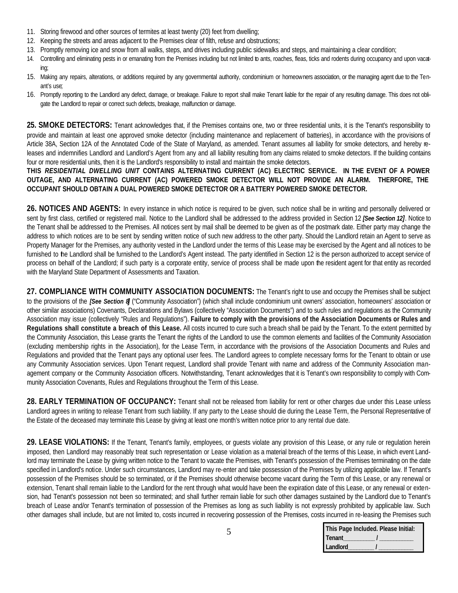- 11. Storing firewood and other sources of termites at least twenty (20) feet from dwelling;
- 12. Keeping the streets and areas adjacent to the Premises clear of filth, refuse and obstructions;
- 13. Promptly removing ice and snow from all walks, steps, and drives including public sidewalks and steps, and maintaining a clear condition;
- 14. Controlling and eliminating pests in or emanating from the Premises including but not limited to ants, roaches, fleas, ticks and rodents during occupancy and upon vacating;
- 15. Making any repairs, alterations, or additions required by any governmental authority, condominium or homeowners association, or the managing agent due to the Tenant's use;
- 16. Promptly reporting to the Landlord any defect, damage, or breakage. Failure to report shall make Tenant liable for the repair of any resulting damage. This does not obligate the Landlord to repair or correct such defects, breakage, malfunction or damage.

**25. SMOKE DETECTORS:** Tenant acknowledges that, if the Premises contains one, two or three residential units, it is the Tenant's responsibility to provide and maintain at least one approved smoke detector (including maintenance and replacement of batteries), in accordance with the provisions of Article 38A, Section 12A of the Annotated Code of the State of Maryland, as amended. Tenant assumes all liability for smoke detectors, and hereby releases and indemnifies Landlord and Landlord's Agent from any and all liability resulting from any claims related to smoke detectors. If the building contains four or more residential units, then it is the Landlord's responsibility to install and maintain the smoke detectors.

### **THIS** *RESIDENTIAL DWELLING UNIT* **CONTAINS ALTERNATING CURRENT (AC) ELECTRIC SERVICE. IN THE EVENT OF A POWER OUTAGE, AND ALTERNATING CURRENT (AC) POWERED SMOKE DETECTOR WILL NOT PROVIDE AN ALARM. THERFORE, THE OCCUPANT SHOULD OBTAIN A DUAL POWERED SMOKE DETECTOR OR A BATTERY POWERED SMOKE DETECTOR.**

26. NOTICES AND AGENTS: In every instance in which notice is required to be given, such notice shall be in writing and personally delivered or sent by first class, certified or registered mail. Notice to the Landlord shall be addressed to the address provided in Section 12 *[See Section 12]*. Notice to the Tenant shall be addressed to the Premises. All notices sent by mail shall be deemed to be given as of the postmark date. Either party may change the address to which notices are to be sent by sending written notice of such new address to the other party. Should the Landlord retain an Agent to serve as Property Manager for the Premises, any authority vested in the Landlord under the terms of this Lease may be exercised by the Agent and all notices to be furnished to the Landlord shall be furnished to the Landlord's Agent instead. The party identified in Section 12 is the person authorized to accept service of process on behalf of the Landlord; if such party is a corporate entity, service of process shall be made upon the resident agent for that entity as recorded with the Maryland State Department of Assessments and Taxation.

**27. COMPLIANCE WITH COMMUNITY ASSOCIATION DOCUMENTS:** The Tenant's right to use and occupy the Premises shall be subject to the provisions of the *[See Section 8*] ("Community Association") (which shall include condominium unit owners' association, homeowners' association or other similar associations) Covenants, Declarations and Bylaws (collectively "Association Documents") and to such rules and regulations as the Community Association may issue (collectively "Rules and Regulations"). **Failure to comply with the provisions of the Association Documents or Rules and Regulations shall constitute a breach of this Lease.** All costs incurred to cure such a breach shall be paid by the Tenant. To the extent permitted by the Community Association, this Lease grants the Tenant the rights of the Landlord to use the common elements and facilities of the Community Association (excluding membership rights in the Association), for the Lease Term, in accordance with the provisions of the Association Documents and Rules and Regulations and provided that the Tenant pays any optional user fees. The Landlord agrees to complete necessary forms for the Tenant to obtain or use any Community Association services. Upon Tenant request, Landlord shall provide Tenant with name and address of the Community Association management company or the Community Association officers. Notwithstanding, Tenant acknowledges that it is Tenant's own responsibility to comply with Community Association Covenants, Rules and Regulations throughout the Term of this Lease.

28. EARLY TERMINATION OF OCCUPANCY: Tenant shall not be released from liability for rent or other charges due under this Lease unless Landlord agrees in writing to release Tenant from such liability. If any party to the Lease should die during the Lease Term, the Personal Representative of the Estate of the deceased may terminate this Lease by giving at least one month's written notice prior to any rental due date.

**29. LEASE VIOLATIONS:** If the Tenant, Tenant's family, employees, or guests violate any provision of this Lease, or any rule or regulation herein imposed, then Landlord may reasonably treat such representation or Lease violation as a material breach of the terms of this Lease, in which event Landlord may terminate the Lease by giving written notice to the Tenant to vacate the Premises, with Tenant's possession of the Premises terminating on the date specified in Landlord's notice. Under such circumstances, Landlord may re-enter and take possession of the Premises by utilizing applicable law. If Tenant's possession of the Premises should be so terminated, or if the Premises should otherwise become vacant during the Term of this Lease, or any renewal or extension, Tenant shall remain liable to the Landlord for the rent through what would have been the expiration date of this Lease, or any renewal or extension, had Tenant's possession not been so terminated; and shall further remain liable for such other damages sustained by the Landlord due to Tenant's breach of Lease and/or Tenant's termination of possession of the Premises as long as such liability is not expressly prohibited by applicable law. Such other damages shall include, but are not limited to, costs incurred in recovering possession of the Premises, costs incurred in re-leasing the Premises such

| This Page Included. Please Initial: |
|-------------------------------------|
| <b>Tenant</b>                       |
| Landlord                            |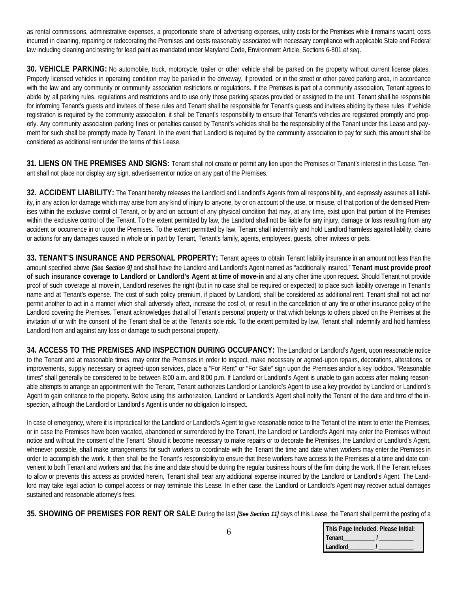as rental commissions, administrative expenses, a proportionate share of advertising expenses, utility costs for the Premises while it remains vacant, costs incurred in cleaning, repairing or redecorating the Premises and costs reasonably associated with necessary compliance with applicable State and Federal law including cleaning and testing for lead paint as mandated under Maryland Code, Environment Article, Sections 6-801 *et seq*.

**30. VEHICLE PARKING:** No automobile, truck, motorcycle, trailer or other vehicle shall be parked on the property without current license plates. Properly licensed vehicles in operating condition may be parked in the driveway, if provided, or in the street or other paved parking area, in accordance with the law and any community or community association restrictions or regulations. If the Premises is part of a community association, Tenant agrees to abide by all parking rules, regulations and restrictions and to use only those parking spaces provided or assigned to the unit. Tenant shall be responsible for informing Tenant's guests and invitees of these rules and Tenant shall be responsible for Tenant's guests and invitees abiding by these rules. If vehicle registration is required by the community association, it shall be Tenant's responsibility to ensure that Tenant's vehicles are registered promptly and properly. Any community association parking fines or penalties caused by Tenant's vehicles shall be the responsibility of the Tenant under this Lease and payment for such shall be promptly made by Tenant. In the event that Landlord is required by the community association to pay for such, this amount shall be considered as additional rent under the terms of this Lease.

**31. LIENS ON THE PREMISES AND SIGNS:** Tenant shall not create or permit any lien upon the Premises or Tenant's interest in this Lease. Tenant shall not place nor display any sign, advertisement or notice on any part of the Premises.

**32. ACCIDENT LIABILITY:** The Tenant hereby releases the Landlord and Landlord's Agents from all responsibility, and expressly assumes all liability, in any action for damage which may arise from any kind of injury to anyone, by or on account of the use, or misuse, of that portion of the demised Premises within the exclusive control of Tenant, or by and on account of any physical condition that may, at any time, exist upon that portion of the Premises within the exclusive control of the Tenant. To the extent permitted by law, the Landlord shall not be liable for any injury, damage or loss resulting from any accident or occurrence in or upon the Premises. To the extent permitted by law, Tenant shall indemnify and hold Landlord harmless against liability, claims or actions for any damages caused in whole or in part by Tenant, Tenant's family, agents, employees, guests, other invitees or pets.

**33. TENANT'S INSURANCE AND PERSONAL PROPERTY:** Tenant agrees to obtain Tenant liability insurance in an amount not less than the amount specified above *[See Section 9]* and shall have the Landlord and Landlord's Agent named as "additionally insured." **Tenant must provide proof of such insurance coverage to Landlord or Landlord's Agent at time of move-in** and at any other time upon request. Should Tenant not provide proof of such coverage at move-in, Landlord reserves the right (but in no case shall be required or expected) to place such liability coverage in Tenant's name and at Tenant's expense. The cost of such policy premium, if placed by Landlord, shall be considered as additional rent. Tenant shall not act nor permit another to act in a manner which shall adversely affect, increase the cost of, or result in the cancellation of any fire or other insurance policy of the Landlord covering the Premises. Tenant acknowledges that all of Tenant's personal property or that which belongs to others placed on the Premises at the invitation of or with the consent of the Tenant shall be at the Tenant's sole risk. To the extent permitted by law, Tenant shall indemnify and hold harmless Landlord from and against any loss or damage to such personal property.

**34. ACCESS TO THE PREMISES AND INSPECTION DURING OCCUPANCY:** The Landlord or Landlord's Agent, upon reasonable notice to the Tenant and at reasonable times, may enter the Premises in order to inspect, make necessary or agreed-upon repairs, decorations, alterations, or improvements, supply necessary or agreed-upon services, place a "For Rent" or "For Sale" sign upon the Premises and/or a key lockbox. "Reasonable times" shall generally be considered to be between 8:00 a.m. and 8:00 p.m. If Landlord or Landlord's Agent is unable to gain access after making reasonable attempts to arrange an appointment with the Tenant, Tenant authorizes Landlord or Landlord's Agent to use a key provided by Landlord or Landlord's Agent to gain entrance to the property. Before using this authorization, Landlord or Landlord's Agent shall notify the Tenant of the date and time of the inspection, although the Landlord or Landlord's Agent is under no obligation to inspect.

In case of emergency, where it is impractical for the Landlord or Landlord's Agent to give reasonable notice to the Tenant of the intent to enter the Premises, or in case the Premises have been vacated, abandoned or surrendered by the Tenant, the Landlord or Landlord's Agent may enter the Premises without notice and without the consent of the Tenant. Should it become necessary to make repairs or to decorate the Premises, the Landlord or Landlord's Agent, whenever possible, shall make arrangements for such workers to coordinate with the Tenant the time and date when workers may enter the Premises in order to accomplish the work. It then shall be the Tenant's responsibility to ensure that these workers have access to the Premises at a time and date convenient to both Tenant and workers and that this time and date should be during the regular business hours of the firm doing the work. If the Tenant refuses to allow or prevents this access as provided herein, Tenant shall bear any additional expense incurred by the Landlord or Landlord's Agent. The Landlord may take legal action to compel access or may terminate this Lease. In either case, the Landlord or Landlord's Agent may recover actual damages sustained and reasonable attorney's fees.

**35. SHOWING OF PREMISES FOR RENT OR SALE**: During the last *[See Section 11]* days of this Lease, the Tenant shall permit the posting of a

|          | This Page Included. Please Initial: |
|----------|-------------------------------------|
| l Tenant |                                     |
| Landlord |                                     |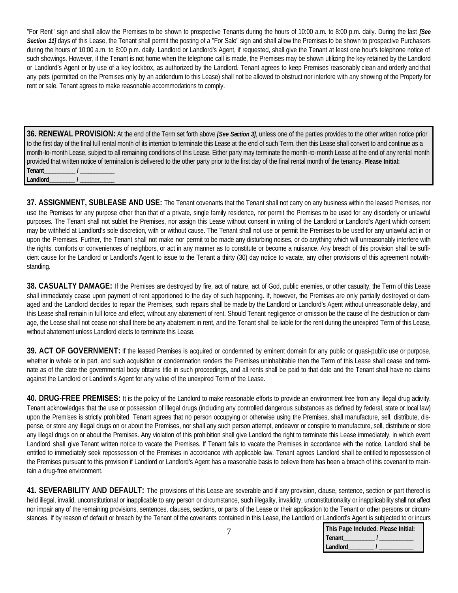"For Rent" sign and shall allow the Premises to be shown to prospective Tenants during the hours of 10:00 a.m. to 8:00 p.m. daily. During the last *[See*  Section 11] days of this Lease, the Tenant shall permit the posting of a "For Sale" sign and shall allow the Premises to be shown to prospective Purchasers during the hours of 10:00 a.m. to 8:00 p.m. daily. Landlord or Landlord's Agent, if requested, shall give the Tenant at least one hour's telephone notice of such showings. However, if the Tenant is not home when the telephone call is made, the Premises may be shown utilizing the key retained by the Landlord or Landlord's Agent or by use of a key lockbox, as authorized by the Landlord. Tenant agrees to keep Premises reasonably clean and orderly and that any pets (permitted on the Premises only by an addendum to this Lease) shall not be allowed to obstruct nor interfere with any showing of the Property for rent or sale. Tenant agrees to make reasonable accommodations to comply.

**36. RENEWAL PROVISION:** At the end of the Term set forth above *[See Section 3]*, unless one of the parties provides to the other written notice prior to the first day of the final full rental month of its intention to terminate this Lease at the end of such Term, then this Lease shall convert to and continue as a month-to-month Lease, subject to all remaining conditions of this Lease. Either party may terminate the month-to-month Lease at the end of any rental month provided that written notice of termination is delivered to the other party prior to the first day of the final rental month of the tenancy. **Please Initial: Tenant\_\_\_\_\_\_\_\_\_\_\_ / \_\_\_\_\_\_\_\_\_\_\_\_ Landlord\_\_\_\_\_\_\_\_\_ / \_\_\_\_\_\_\_\_\_\_\_\_**

**37. ASSIGNMENT, SUBLEASE AND USE:** The Tenant covenants that the Tenant shall not carry on any business within the leased Premises, nor use the Premises for any purpose other than that of a private, single family residence, nor permit the Premises to be used for any disorderly or unlawful purposes. The Tenant shall not sublet the Premises, nor assign this Lease without consent in writing of the Landlord or Landlord's Agent which consent may be withheld at Landlord's sole discretion, with or without cause. The Tenant shall not use or permit the Premises to be used for any unlawful act in or upon the Premises. Further, the Tenant shall not make nor permit to be made any disturbing noises, or do anything which will unreasonably interfere with the rights, comforts or conveniences of neighbors, or act in any manner as to constitute or become a nuisance. Any breach of this provision shall be sufficient cause for the Landlord or Landlord's Agent to issue to the Tenant a thirty (30) day notice to vacate, any other provisions of this agreement notwithstanding.

**38. CASUALTY DAMAGE:** If the Premises are destroyed by fire, act of nature, act of God, public enemies, or other casualty, the Term of this Lease shall immediately cease upon payment of rent apportioned to the day of such happening. If, however, the Premises are only partially destroyed or damaged and the Landlord decides to repair the Premises, such repairs shall be made by the Landlord or Landlord's Agent without unreasonable delay, and this Lease shall remain in full force and effect, without any abatement of rent. Should Tenant negligence or omission be the cause of the destruction or damage, the Lease shall not cease nor shall there be any abatement in rent, and the Tenant shall be liable for the rent during the unexpired Term of this Lease, without abatement unless Landlord elects to terminate this Lease.

**39. ACT OF GOVERNMENT:** If the leased Premises is acquired or condemned by eminent domain for any public or quasi-public use or purpose, whether in whole or in part, and such acquisition or condemnation renders the Premises uninhabitable then the Term of this Lease shall cease and terminate as of the date the governmental body obtains title in such proceedings, and all rents shall be paid to that date and the Tenant shall have no claims against the Landlord or Landlord's Agent for any value of the unexpired Term of the Lease.

**40. DRUG-FREE PREMISES:** It is the policy of the Landlord to make reasonable efforts to provide an environment free from any illegal drug activity. Tenant acknowledges that the use or possession of illegal drugs (including any controlled dangerous substances as defined by federal, state or local law) upon the Premises is strictly prohibited. Tenant agrees that no person occupying or otherwise using the Premises, shall manufacture, sell, distribute, dispense, or store any illegal drugs on or about the Premises, nor shall any such person attempt, endeavor or conspire to manufacture, sell, distribute or store any illegal drugs on or about the Premises. Any violation of this prohibition shall give Landlord the right to terminate this Lease immediately, in which event Landlord shall give Tenant written notice to vacate the Premises. If Tenant fails to vacate the Premises in accordance with the notice, Landlord shall be entitled to immediately seek repossession of the Premises in accordance with applicable law. Tenant agrees Landlord shall be entitled to repossession of the Premises pursuant to this provision if Landlord or Landlord's Agent has a reasonable basis to believe there has been a breach of this covenant to maintain a drug-free environment.

**41. SEVERABILITY AND DEFAULT:** The provisions of this Lease are severable and if any provision, clause, sentence, section or part thereof is held illegal, invalid, unconstitutional or inapplicable to any person or circumstance, such illegality, invalidity, unconstitutionality or inapplicability shall not affect nor impair any of the remaining provisions, sentences, clauses, sections, or parts of the Lease or their application to the Tenant or other persons or circumstances. If by reason of default or breach by the Tenant of the covenants contained in this Lease, the Landlord or Landlord's Agent is subjected to or incurs

| This Page Included. Please Initial: |  |
|-------------------------------------|--|
| <b>Tenant</b>                       |  |
| Landlord                            |  |